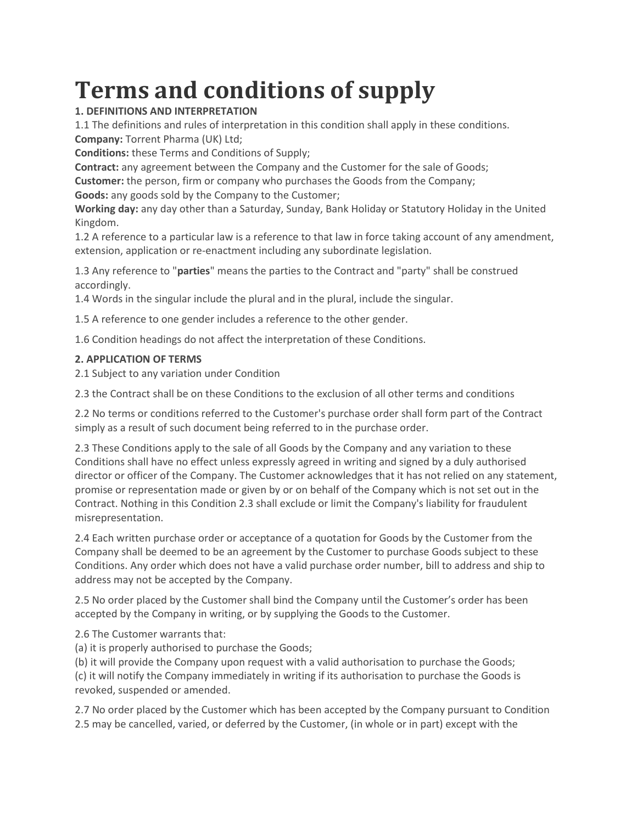# **Terms and conditions of supply**

# **1. DEFINITIONS AND INTERPRETATION**

1.1 The definitions and rules of interpretation in this condition shall apply in these conditions. **Company:** Torrent Pharma (UK) Ltd;

**Conditions:** these Terms and Conditions of Supply;

**Contract:** any agreement between the Company and the Customer for the sale of Goods;

**Customer:** the person, firm or company who purchases the Goods from the Company;

**Goods:** any goods sold by the Company to the Customer;

**Working day:** any day other than a Saturday, Sunday, Bank Holiday or Statutory Holiday in the United Kingdom.

1.2 A reference to a particular law is a reference to that law in force taking account of any amendment, extension, application or re-enactment including any subordinate legislation.

1.3 Any reference to "**parties**" means the parties to the Contract and "party" shall be construed accordingly.

1.4 Words in the singular include the plural and in the plural, include the singular.

1.5 A reference to one gender includes a reference to the other gender.

1.6 Condition headings do not affect the interpretation of these Conditions.

## **2. APPLICATION OF TERMS**

2.1 Subject to any variation under Condition

2.3 the Contract shall be on these Conditions to the exclusion of all other terms and conditions

2.2 No terms or conditions referred to the Customer's purchase order shall form part of the Contract simply as a result of such document being referred to in the purchase order.

2.3 These Conditions apply to the sale of all Goods by the Company and any variation to these Conditions shall have no effect unless expressly agreed in writing and signed by a duly authorised director or officer of the Company. The Customer acknowledges that it has not relied on any statement, promise or representation made or given by or on behalf of the Company which is not set out in the Contract. Nothing in this Condition 2.3 shall exclude or limit the Company's liability for fraudulent misrepresentation.

2.4 Each written purchase order or acceptance of a quotation for Goods by the Customer from the Company shall be deemed to be an agreement by the Customer to purchase Goods subject to these Conditions. Any order which does not have a valid purchase order number, bill to address and ship to address may not be accepted by the Company.

2.5 No order placed by the Customer shall bind the Company until the Customer's order has been accepted by the Company in writing, or by supplying the Goods to the Customer.

2.6 The Customer warrants that:

(a) it is properly authorised to purchase the Goods;

(b) it will provide the Company upon request with a valid authorisation to purchase the Goods; (c) it will notify the Company immediately in writing if its authorisation to purchase the Goods is

revoked, suspended or amended.

2.7 No order placed by the Customer which has been accepted by the Company pursuant to Condition 2.5 may be cancelled, varied, or deferred by the Customer, (in whole or in part) except with the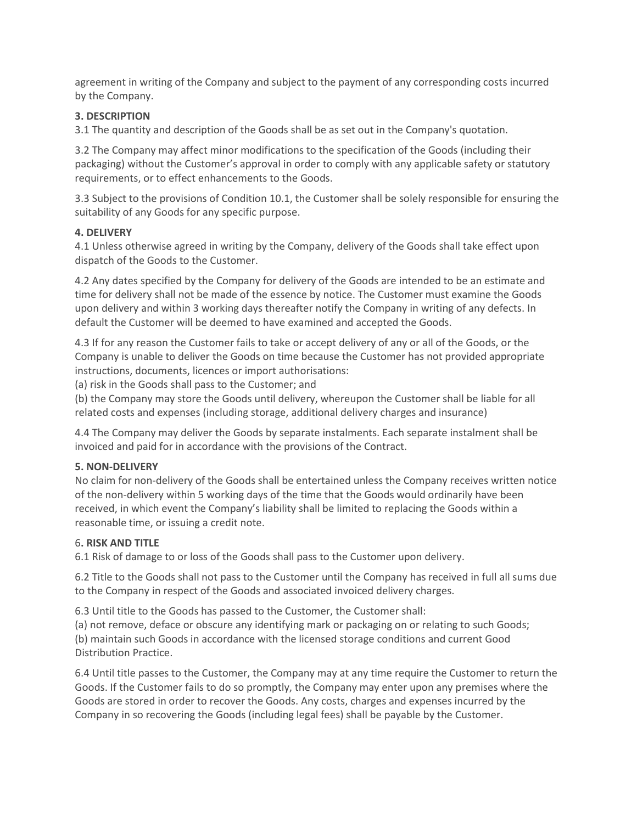agreement in writing of the Company and subject to the payment of any corresponding costs incurred by the Company.

#### **3. DESCRIPTION**

3.1 The quantity and description of the Goods shall be as set out in the Company's quotation.

3.2 The Company may affect minor modifications to the specification of the Goods (including their packaging) without the Customer's approval in order to comply with any applicable safety or statutory requirements, or to effect enhancements to the Goods.

3.3 Subject to the provisions of Condition 10.1, the Customer shall be solely responsible for ensuring the suitability of any Goods for any specific purpose.

#### **4. DELIVERY**

4.1 Unless otherwise agreed in writing by the Company, delivery of the Goods shall take effect upon dispatch of the Goods to the Customer.

4.2 Any dates specified by the Company for delivery of the Goods are intended to be an estimate and time for delivery shall not be made of the essence by notice. The Customer must examine the Goods upon delivery and within 3 working days thereafter notify the Company in writing of any defects. In default the Customer will be deemed to have examined and accepted the Goods.

4.3 If for any reason the Customer fails to take or accept delivery of any or all of the Goods, or the Company is unable to deliver the Goods on time because the Customer has not provided appropriate instructions, documents, licences or import authorisations:

(a) risk in the Goods shall pass to the Customer; and

(b) the Company may store the Goods until delivery, whereupon the Customer shall be liable for all related costs and expenses (including storage, additional delivery charges and insurance)

4.4 The Company may deliver the Goods by separate instalments. Each separate instalment shall be invoiced and paid for in accordance with the provisions of the Contract.

#### **5. NON-DELIVERY**

No claim for non-delivery of the Goods shall be entertained unless the Company receives written notice of the non-delivery within 5 working days of the time that the Goods would ordinarily have been received, in which event the Company's liability shall be limited to replacing the Goods within a reasonable time, or issuing a credit note.

#### 6**. RISK AND TITLE**

6.1 Risk of damage to or loss of the Goods shall pass to the Customer upon delivery.

6.2 Title to the Goods shall not pass to the Customer until the Company has received in full all sums due to the Company in respect of the Goods and associated invoiced delivery charges.

6.3 Until title to the Goods has passed to the Customer, the Customer shall:

(a) not remove, deface or obscure any identifying mark or packaging on or relating to such Goods; (b) maintain such Goods in accordance with the licensed storage conditions and current Good Distribution Practice.

6.4 Until title passes to the Customer, the Company may at any time require the Customer to return the Goods. If the Customer fails to do so promptly, the Company may enter upon any premises where the Goods are stored in order to recover the Goods. Any costs, charges and expenses incurred by the Company in so recovering the Goods (including legal fees) shall be payable by the Customer.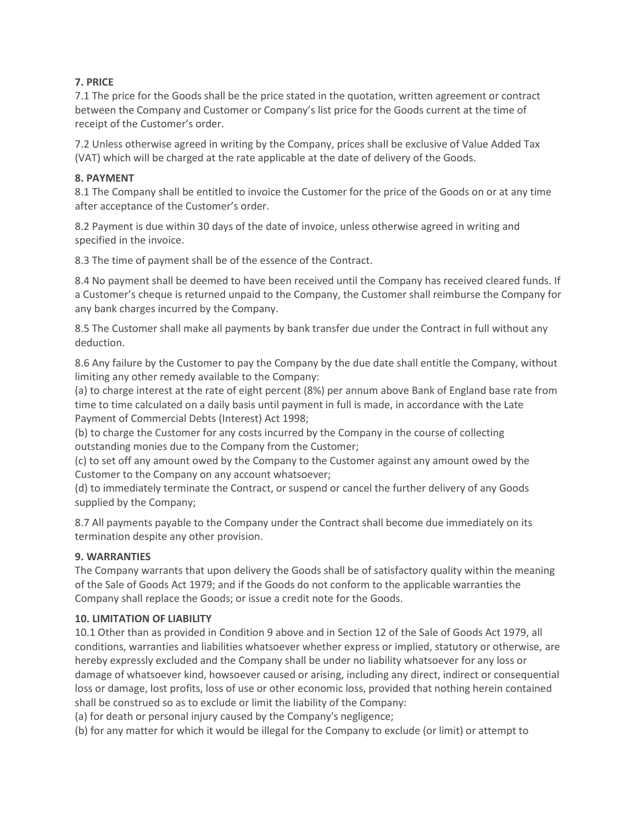### **7. PRICE**

7.1 The price for the Goods shall be the price stated in the quotation, written agreement or contract between the Company and Customer or Company's list price for the Goods current at the time of receipt of the Customer's order.

7.2 Unless otherwise agreed in writing by the Company, prices shall be exclusive of Value Added Tax (VAT) which will be charged at the rate applicable at the date of delivery of the Goods.

#### **8. PAYMENT**

8.1 The Company shall be entitled to invoice the Customer for the price of the Goods on or at any time after acceptance of the Customer's order.

8.2 Payment is due within 30 days of the date of invoice, unless otherwise agreed in writing and specified in the invoice.

8.3 The time of payment shall be of the essence of the Contract.

8.4 No payment shall be deemed to have been received until the Company has received cleared funds. If a Customer's cheque is returned unpaid to the Company, the Customer shall reimburse the Company for any bank charges incurred by the Company.

8.5 The Customer shall make all payments by bank transfer due under the Contract in full without any deduction.

8.6 Any failure by the Customer to pay the Company by the due date shall entitle the Company, without limiting any other remedy available to the Company:

(a) to charge interest at the rate of eight percent (8%) per annum above Bank of England base rate from time to time calculated on a daily basis until payment in full is made, in accordance with the Late Payment of Commercial Debts (Interest) Act 1998;

(b) to charge the Customer for any costs incurred by the Company in the course of collecting outstanding monies due to the Company from the Customer;

(c) to set off any amount owed by the Company to the Customer against any amount owed by the Customer to the Company on any account whatsoever;

(d) to immediately terminate the Contract, or suspend or cancel the further delivery of any Goods supplied by the Company;

8.7 All payments payable to the Company under the Contract shall become due immediately on its termination despite any other provision.

### **9. WARRANTIES**

The Company warrants that upon delivery the Goods shall be of satisfactory quality within the meaning of the Sale of Goods Act 1979; and if the Goods do not conform to the applicable warranties the Company shall replace the Goods; or issue a credit note for the Goods.

#### **10. LIMITATION OF LIABILITY**

10.1 Other than as provided in Condition 9 above and in Section 12 of the Sale of Goods Act 1979, all conditions, warranties and liabilities whatsoever whether express or implied, statutory or otherwise, are hereby expressly excluded and the Company shall be under no liability whatsoever for any loss or damage of whatsoever kind, howsoever caused or arising, including any direct, indirect or consequential loss or damage, lost profits, loss of use or other economic loss, provided that nothing herein contained shall be construed so as to exclude or limit the liability of the Company:

(a) for death or personal injury caused by the Company's negligence;

(b) for any matter for which it would be illegal for the Company to exclude (or limit) or attempt to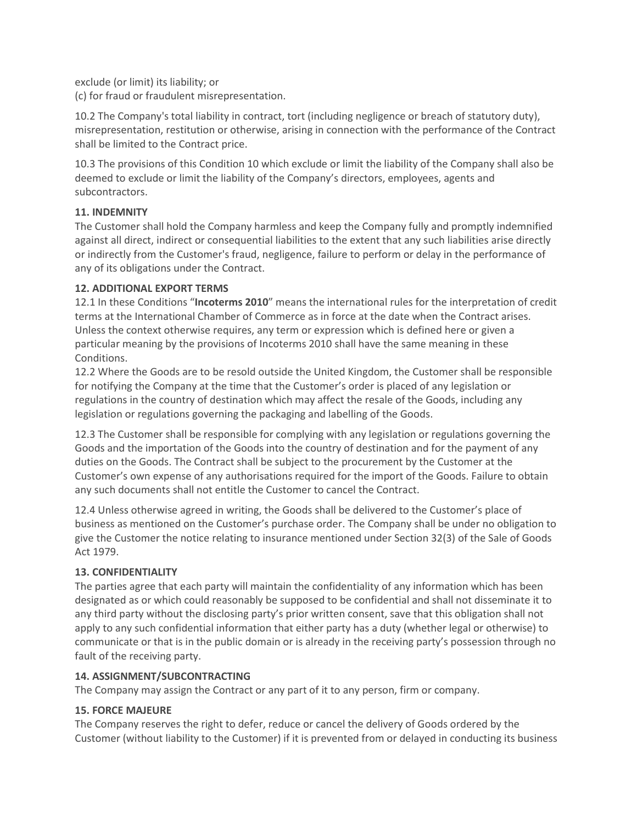exclude (or limit) its liability; or

(c) for fraud or fraudulent misrepresentation.

10.2 The Company's total liability in contract, tort (including negligence or breach of statutory duty), misrepresentation, restitution or otherwise, arising in connection with the performance of the Contract shall be limited to the Contract price.

10.3 The provisions of this Condition 10 which exclude or limit the liability of the Company shall also be deemed to exclude or limit the liability of the Company's directors, employees, agents and subcontractors.

## **11. INDEMNITY**

The Customer shall hold the Company harmless and keep the Company fully and promptly indemnified against all direct, indirect or consequential liabilities to the extent that any such liabilities arise directly or indirectly from the Customer's fraud, negligence, failure to perform or delay in the performance of any of its obligations under the Contract.

## **12. ADDITIONAL EXPORT TERMS**

12.1 In these Conditions "**Incoterms 2010**" means the international rules for the interpretation of credit terms at the International Chamber of Commerce as in force at the date when the Contract arises. Unless the context otherwise requires, any term or expression which is defined here or given a particular meaning by the provisions of Incoterms 2010 shall have the same meaning in these Conditions.

12.2 Where the Goods are to be resold outside the United Kingdom, the Customer shall be responsible for notifying the Company at the time that the Customer's order is placed of any legislation or regulations in the country of destination which may affect the resale of the Goods, including any legislation or regulations governing the packaging and labelling of the Goods.

12.3 The Customer shall be responsible for complying with any legislation or regulations governing the Goods and the importation of the Goods into the country of destination and for the payment of any duties on the Goods. The Contract shall be subject to the procurement by the Customer at the Customer's own expense of any authorisations required for the import of the Goods. Failure to obtain any such documents shall not entitle the Customer to cancel the Contract.

12.4 Unless otherwise agreed in writing, the Goods shall be delivered to the Customer's place of business as mentioned on the Customer's purchase order. The Company shall be under no obligation to give the Customer the notice relating to insurance mentioned under Section 32(3) of the Sale of Goods Act 1979.

# **13. CONFIDENTIALITY**

The parties agree that each party will maintain the confidentiality of any information which has been designated as or which could reasonably be supposed to be confidential and shall not disseminate it to any third party without the disclosing party's prior written consent, save that this obligation shall not apply to any such confidential information that either party has a duty (whether legal or otherwise) to communicate or that is in the public domain or is already in the receiving party's possession through no fault of the receiving party.

### **14. ASSIGNMENT/SUBCONTRACTING**

The Company may assign the Contract or any part of it to any person, firm or company.

# **15. FORCE MAJEURE**

The Company reserves the right to defer, reduce or cancel the delivery of Goods ordered by the Customer (without liability to the Customer) if it is prevented from or delayed in conducting its business